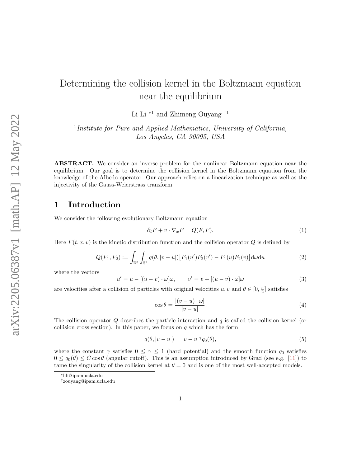# Determining the collision kernel in the Boltzmann equation near the equilibrium

Li Li<sup> $*1$ </sup> and Zhimeng Ouyang<sup>†1</sup>

<sup>1</sup>Institute for Pure and Applied Mathematics, University of California, Los Angeles, CA 90095, USA

ABSTRACT. We consider an inverse problem for the nonlinear Boltzmann equation near the equilibrium. Our goal is to determine the collision kernel in the Boltzmann equation from the knowledge of the Albedo operator. Our approach relies on a linearization technique as well as the injectivity of the Gauss-Weierstrass transform.

### 1 Introduction

We consider the following evolutionary Boltzmann equation

$$
\partial_t F + v \cdot \nabla_x F = Q(F, F). \tag{1}
$$

Here  $F(t, x, v)$  is the kinetic distribution function and the collision operator Q is defined by

$$
Q(F_1, F_2) := \int_{\mathbb{R}^3} \int_{\mathbb{S}^2} q(\theta, |v - u|) \left[ F_1(u') F_2(v') - F_1(u) F_2(v) \right] d\omega du \tag{2}
$$

where the vectors

$$
u' = u - [(u - v) \cdot \omega] \omega, \qquad v' = v + [(u - v) \cdot \omega] \omega \tag{3}
$$

are velocities after a collision of particles with original velocities  $u, v$  and  $\theta \in [0, \frac{\pi}{2}]$  satisfies

$$
\cos \theta = \frac{|(v - u) \cdot \omega|}{|v - u|}.
$$
\n(4)

The collision operator  $Q$  describes the particle interaction and  $q$  is called the collision kernel (or collision cross section). In this paper, we focus on  $q$  which has the form

<span id="page-0-0"></span>
$$
q(\theta, |v - u|) = |v - u|^{\gamma} q_0(\theta), \tag{5}
$$

where the constant  $\gamma$  satisfies  $0 \leq \gamma \leq 1$  (hard potential) and the smooth function  $q_0$  satisfies  $0 \leq q_0(\theta) \leq C \cos \theta$  (angular cutoff). This is an assumption introduced by Grad (see e.g. [\[11\]](#page-9-0)) to tame the singularity of the collision kernel at  $\theta = 0$  and is one of the most well-accepted models.

<sup>∗</sup> lili@ipam.ucla.edu

<sup>†</sup>zouyang@ipam.ucla.edu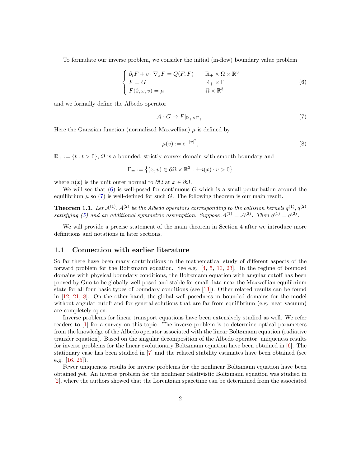To formulate our inverse problem, we consider the initial (in-flow) boundary value problem

<span id="page-1-0"></span>
$$
\begin{cases}\n\partial_t F + v \cdot \nabla_x F = Q(F, F) & \mathbb{R}_+ \times \Omega \times \mathbb{R}^3 \\
F = G & \mathbb{R}_+ \times \Gamma_- \\
F(0, x, v) = \mu & \Omega \times \mathbb{R}^3\n\end{cases}
$$
\n(6)

and we formally define the Albedo operator

<span id="page-1-1"></span>
$$
\mathcal{A}: G \to F|_{\mathbb{R}_+ \times \Gamma_+}.\tag{7}
$$

Here the Gaussian function (normalized Maxwellian)  $\mu$  is defined by

$$
\mu(v) := e^{-|v|^2},\tag{8}
$$

 $\mathbb{R}_+ := \{t : t > 0\},\Omega$  is a bounded, strictly convex domain with smooth boundary and

$$
\Gamma_{\pm} := \left\{ (x, v) \in \partial \Omega \times \mathbb{R}^3 : \pm n(x) \cdot v > 0 \right\}
$$

where  $n(x)$  is the unit outer normal to  $\partial\Omega$  at  $x \in \partial\Omega$ .

We will see that  $(6)$  is well-posed for continuous G which is a small perturbation around the equilibrium  $\mu$  so [\(7\)](#page-1-1) is well-defined for such G. The following theorem is our main result.

<span id="page-1-2"></span>**Theorem 1.1.** Let  $\mathcal{A}^{(1)}, \mathcal{A}^{(2)}$  be the Albedo operators corresponding to the collision kernels  $q^{(1)}, q^{(2)}$ satisfying [\(5\)](#page-0-0) and an additional symmetric assumption. Suppose  $\mathcal{A}^{(1)} = \mathcal{A}^{(2)}$ . Then  $q^{(1)} = q^{(2)}$ .

We will provide a precise statement of the main theorem in Section 4 after we introduce more definitions and notations in later sections.

### 1.1 Connection with earlier literature

So far there have been many contributions in the mathematical study of different aspects of the forward problem for the Boltzmann equation. See e.g. [\[4,](#page-9-1) [5,](#page-9-2) [10,](#page-9-3) [23\]](#page-10-0). In the regime of bounded domains with physical boundary conditions, the Boltzmann equation with angular cutoff has been proved by Guo to be globally well-posed and stable for small data near the Maxwellian equilibrium state for all four basic types of boundary conditions (see [\[13\]](#page-10-1)). Other related results can be found in [\[12,](#page-10-2) [21,](#page-10-3) [8\]](#page-9-4). On the other hand, the global well-posedness in bounded domains for the model without angular cutoff and for general solutions that are far from equilibrium (e.g. near vacuum) are completely open.

Inverse problems for linear transport equations have been extensively studied as well. We refer readers to [\[1\]](#page-9-5) for a survey on this topic. The inverse problem is to determine optical parameters from the knowledge of the Albedo operator associated with the linear Boltzmann equation (radiative transfer equation). Based on the singular decomposition of the Albedo operator, uniqueness results for inverse problems for the linear evolutionary Boltzmann equation have been obtained in [\[6\]](#page-9-6). The stationary case has been studied in [\[7\]](#page-9-7) and the related stability estimates have been obtained (see e.g. [\[16,](#page-10-4) [25\]](#page-10-5)).

Fewer uniqueness results for inverse problems for the nonlinear Boltzmann equation have been obtained yet. An inverse problem for the nonlinear relativistic Boltzmann equation was studied in [\[2\]](#page-9-8), where the authors showed that the Lorentzian spacetime can be determined from the associated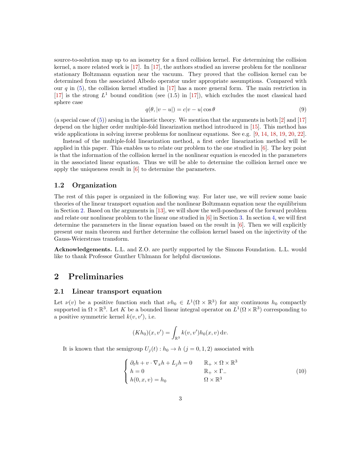source-to-solution map up to an isometry for a fixed collision kernel. For determining the collision kernel, a more related work is [\[17\]](#page-10-6). In [\[17\]](#page-10-6), the authors studied an inverse problem for the nonlinear stationary Boltzmann equation near the vacuum. They proved that the collision kernel can be determined from the associated Albedo operator under appropriate assumptions. Compared with our q in  $(5)$ , the collision kernel studied in [\[17\]](#page-10-6) has a more general form. The main restriction in [\[17\]](#page-10-6) is the strong  $L^1$  bound condition (see (1.5) in [\[17\]](#page-10-6)), which excludes the most classical hard sphere case

<span id="page-2-2"></span>
$$
q(\theta, |v - u|) = c|v - u|\cos\theta \tag{9}
$$

(a special case of  $(5)$ ) arsing in the kinetic theory. We mention that the arguments in both [\[2\]](#page-9-8) and [\[17\]](#page-10-6) depend on the higher order multiple-fold linearization method introduced in [\[15\]](#page-10-7). This method has wide applications in solving inverse problems for nonlinear equations. See e.g. [\[9,](#page-9-9) [14,](#page-10-8) [18,](#page-10-9) [19,](#page-10-10) [20,](#page-10-11) [22\]](#page-10-12).

Instead of the multiple-fold linearization method, a first order linearization method will be applied in this paper. This enables us to relate our problem to the one studied in [\[6\]](#page-9-6). The key point is that the information of the collision kernel in the nonlinear equation is encoded in the parameters in the associated linear equation. Thus we will be able to determine the collision kernel once we apply the uniqueness result in [\[6\]](#page-9-6) to determine the parameters.

### 1.2 Organization

The rest of this paper is organized in the following way. For later use, we will review some basic theories of the linear transport equation and the nonlinear Boltzmann equation near the equilibrium in Section [2.](#page-2-0) Based on the arguments in [\[13\]](#page-10-1), we will show the well-posedness of the forward problem and relate our nonlinear problem to the linear one studied in  $[6]$  in Section [3.](#page-4-0) In section [4,](#page-7-0) we will first determine the parameters in the linear equation based on the result in  $[6]$ . Then we will explicitly present our main theorem and further determine the collision kernel based on the injectivity of the Gauss-Weierstrass transform.

Acknowledgements. L.L. and Z.O. are partly supported by the Simons Foundation. L.L. would like to thank Professor Gunther Uhlmann for helpful discussions.

## <span id="page-2-0"></span>2 Preliminaries

### <span id="page-2-1"></span>2.1 Linear transport equation

Let  $\nu(v)$  be a positive function such that  $\nu h_0 \in L^1(\Omega \times \mathbb{R}^3)$  for any continuous  $h_0$  compactly supported in  $\Omega \times \mathbb{R}^3$ . Let K be a bounded linear integral operator on  $L^1(\Omega \times \mathbb{R}^3)$  corresponding to a positive symmetric kernel  $k(v, v')$ , i.e.

$$
(Kh_0)(x,v') = \int_{\mathbb{R}^3} k(v,v')h_0(x,v) dv.
$$

It is known that the semigroup  $U_j(t)$ :  $h_0 \to h$   $(j = 0, 1, 2)$  associated with

$$
\begin{cases}\n\partial_t h + v \cdot \nabla_x h + L_j h = 0 & \mathbb{R}_+ \times \Omega \times \mathbb{R}^3 \\
h = 0 & \mathbb{R}_+ \times \Gamma_- \\
h(0, x, v) = h_0 & \Omega \times \mathbb{R}^3\n\end{cases}
$$
\n(10)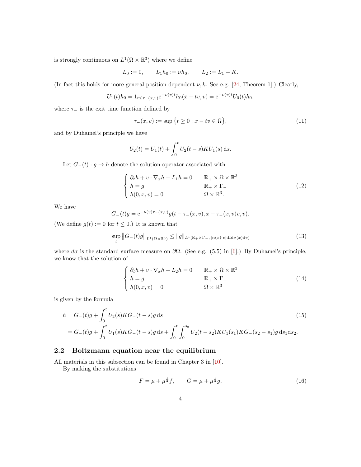is strongly continuous on  $L^1(\Omega \times \mathbb{R}^3)$  where we define

$$
L_0 := 0,
$$
  $L_1 h_0 := \nu h_0,$   $L_2 := L_1 - K.$ 

(In fact this holds for more general position-dependent  $\nu, k$ . See e.g. [\[24,](#page-10-13) Theorem 1].) Clearly,

$$
U_1(t)h_0 = 1_{t \le \tau_-(x,v)} e^{-\nu(v)t} h_0(x - tv, v) = e^{-\nu(v)t} U_0(t)h_0,
$$

where  $\tau_-\$  is the exit time function defined by

$$
\tau_{-}(x,v) := \sup \{ t \ge 0 : x - tv \in \Omega \},\tag{11}
$$

and by Duhamel's principle we have

$$
U_2(t) = U_1(t) + \int_0^t U_2(t-s)KU_1(s) \,ds.
$$

Let  $G_-(t) : g \to h$  denote the solution operator associated with

$$
\begin{cases}\n\partial_t h + v \cdot \nabla_x h + L_1 h = 0 & \mathbb{R}_+ \times \Omega \times \mathbb{R}^3 \\
h = g & \mathbb{R}_+ \times \Gamma_- \\
h(0, x, v) = 0 & \Omega \times \mathbb{R}^3.\n\end{cases}
$$
\n(12)

We have

$$
G_{-}(t)g = e^{-\nu(v)\tau_{-}(x,v)}g(t-\tau_{-}(x,v),x-\tau_{-}(x,v)v,v).
$$

(We define  $g(t) := 0$  for  $t \leq 0$ .) It is known that

$$
\sup_{t} \|G_{-}(t)g\|_{L^{1}(\Omega \times \mathbb{R}^{3})} \le \|g\|_{L^{1}(\mathbb{R}_{+} \times \Gamma_{-},\,]n(x) \cdot v | \mathrm{d}t \mathrm{d}\sigma(x) \mathrm{d}v)} \tag{13}
$$

where  $d\sigma$  is the standard surface measure on  $\partial\Omega$ . (See e.g. (5.5) in [\[6\]](#page-9-6).) By Duhamel's principle, we know that the solution of

$$
\begin{cases}\n\partial_t h + v \cdot \nabla_x h + L_2 h = 0 & \mathbb{R}_+ \times \Omega \times \mathbb{R}^3 \\
h = g & \mathbb{R}_+ \times \Gamma_- \\
h(0, x, v) = 0 & \Omega \times \mathbb{R}^3\n\end{cases}
$$
\n(14)

is given by the formula

$$
h = G_{-}(t)g + \int_{0}^{t} U_{2}(s)KG_{-}(t-s)g ds
$$
\n
$$
= G_{-}(t)g + \int_{0}^{t} U_{1}(s)KG_{-}(t-s)g ds + \int_{0}^{t} \int_{0}^{s_{2}} U_{2}(t-s_{2})KU_{1}(s_{1})KG_{-}(s_{2}-s_{1})g ds_{1}ds_{2}.
$$
\n(15)

### <span id="page-3-1"></span>2.2 Boltzmann equation near the equilibrium

All materials in this subsection can be found in Chapter 3 in [\[10\]](#page-9-3).

By making the substitutions

<span id="page-3-0"></span>
$$
F = \mu + \mu^{\frac{1}{2}} f, \qquad G = \mu + \mu^{\frac{1}{2}} g,\tag{16}
$$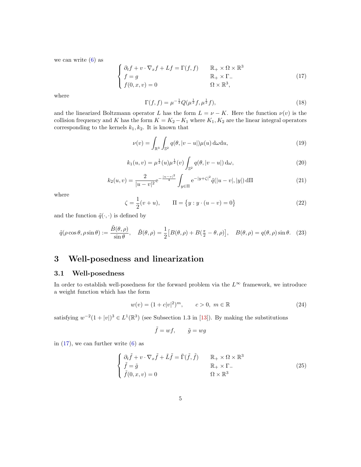we can write  $(6)$  as

<span id="page-4-1"></span>
$$
\begin{cases}\n\partial_t f + v \cdot \nabla_x f + Lf = \Gamma(f, f) & \mathbb{R}_+ \times \Omega \times \mathbb{R}^3 \\
f = g & \mathbb{R}_+ \times \Gamma_- \\
f(0, x, v) = 0 & \Omega \times \mathbb{R}^3,\n\end{cases}
$$
\n(17)

where

$$
\Gamma(f, f) = \mu^{-\frac{1}{2}} Q(\mu^{\frac{1}{2}} f, \mu^{\frac{1}{2}} f), \tag{18}
$$

and the linearized Boltzmann operator L has the form  $L = \nu - K$ . Here the function  $\nu(v)$  is the collision frequency and K has the form  $K = K_2 - K_1$  where  $K_1, K_2$  are the linear integral operators corresponding to the kernels  $k_1, k_2$ . It is known that

<span id="page-4-5"></span>
$$
\nu(v) = \int_{\mathbb{R}^3} \int_{\mathbb{S}^2} q(\theta, |v - u|) \mu(u) \, d\omega du,
$$
\n(19)

<span id="page-4-6"></span>
$$
k_1(u,v) = \mu^{\frac{1}{2}}(u)\mu^{\frac{1}{2}}(v)\int_{\mathbb{S}^2} q(\theta, |v-u|) \,d\omega,
$$
\n(20)

<span id="page-4-7"></span>
$$
k_2(u,v) = \frac{2}{|u-v|^2} e^{-\frac{|u-v|^2}{4}} \int_{y \in \Pi} e^{-|y+\zeta|^2} \tilde{q}(|u-v|,|y|) d\Pi
$$
 (21)

where

$$
\zeta = \frac{1}{2}(v+u), \qquad \Pi = \{y : y \cdot (u-v) = 0\}
$$
\n(22)

and the function  $\tilde{q}(\cdot, \cdot)$  is defined by

<span id="page-4-4"></span>
$$
\tilde{q}(\rho\cos\theta,\rho\sin\theta) := \frac{\tilde{B}(\theta,\rho)}{\sin\theta}, \quad \tilde{B}(\theta,\rho) = \frac{1}{2}[B(\theta,\rho) + B(\frac{\pi}{2} - \theta,\rho)], \quad B(\theta,\rho) = q(\theta,\rho)\sin\theta. \tag{23}
$$

# <span id="page-4-0"></span>3 Well-posedness and linearization

### <span id="page-4-3"></span>3.1 Well-posedness

In order to establish well-posedness for the forward problem via the  $L^{\infty}$  framework, we introduce a weight function which has the form

$$
w(v) = (1 + c|v|^2)^m, \qquad c > 0, \ m \in \mathbb{R}
$$
 (24)

satisfying  $w^{-2}(1+|v|)^3 \in L^1(\mathbb{R}^3)$  (see Subsection 1.3 in [\[13\]](#page-10-1)). By making the substitutions

$$
\tilde{f} = wf, \qquad \tilde{g} = wg
$$

in  $(17)$ , we can further write  $(6)$  as

<span id="page-4-2"></span>
$$
\begin{cases}\n\partial_t \tilde{f} + v \cdot \nabla_x \tilde{f} + \tilde{L}\tilde{f} = \tilde{\Gamma}(\tilde{f}, \tilde{f}) & \mathbb{R}_+ \times \Omega \times \mathbb{R}^3 \\
\tilde{f} = \tilde{g} & \mathbb{R}_+ \times \Gamma_- \\
\tilde{f}(0, x, v) = 0 & \Omega \times \mathbb{R}^3\n\end{cases}
$$
\n(25)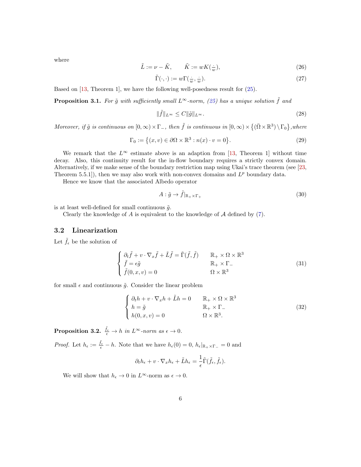where

<span id="page-5-0"></span>
$$
\tilde{L} := \nu - \tilde{K}, \qquad \tilde{K} := wK(\frac{\cdot}{w}), \tag{26}
$$

$$
\tilde{\Gamma}(\cdot,\cdot) := w\Gamma(\frac{\cdot}{w},\frac{\cdot}{w}).\tag{27}
$$

Based on [\[13,](#page-10-1) Theorem 1], we have the following well-posedness result for [\(25\)](#page-4-2).

<span id="page-5-5"></span>**Proposition 3.1.** For  $\tilde{g}$  with sufficiently small  $L^{\infty}$ -norm, [\(25\)](#page-4-2) has a unique solution  $\tilde{f}$  and

<span id="page-5-1"></span>
$$
\|\tilde{f}\|_{L^{\infty}} \le C \|\tilde{g}\|_{L^{\infty}}.\tag{28}
$$

Moreover, if  $\tilde{g}$  is continuous on  $[0, \infty) \times \Gamma_{-}$ , then  $\tilde{f}$  is continuous in  $[0, \infty) \times \{(\bar{\Omega} \times \mathbb{R}^3) \setminus \Gamma_0\}$ , where

$$
\Gamma_0 := \left\{ (x, v) \in \partial\Omega \times \mathbb{R}^3 : n(x) \cdot v = 0 \right\}.
$$
\n(29)

We remark that the  $L^{\infty}$  estimate above is an adaption from [\[13,](#page-10-1) Theorem 1] without time decay. Also, this continuity result for the in-flow boundary requires a strictly convex domain. Alternatively, if we make sense of the boundary restriction map using Ukai's trace theorem (see [\[23,](#page-10-0) Theorem 5.5.1]), then we may also work with non-convex domains and  $L^p$  boundary data.

Hence we know that the associated Albedo operator

<span id="page-5-4"></span>
$$
A: \tilde{g} \to \tilde{f}|_{\mathbb{R}_+ \times \Gamma_+}
$$
\n
$$
(30)
$$

is at least well-defined for small continuous  $\tilde{g}$ .

Clearly the knowledge of  $A$  is equivalent to the knowledge of  $A$  defined by [\(7\)](#page-1-1).

### 3.2 Linearization

Let  $\tilde{f}_{\epsilon}$  be the solution of

$$
\begin{cases}\n\partial_t \tilde{f} + v \cdot \nabla_x \tilde{f} + \tilde{L} \tilde{f} = \tilde{\Gamma}(\tilde{f}, \tilde{f}) & \mathbb{R}_+ \times \Omega \times \mathbb{R}^3 \\
\tilde{f} = \epsilon \tilde{g} & \mathbb{R}_+ \times \Gamma_- \\
\tilde{f}(0, x, v) = 0 & \Omega \times \mathbb{R}^3\n\end{cases}
$$
\n(31)

for small  $\epsilon$  and continuous  $\tilde{g}$ . Consider the linear problem

<span id="page-5-2"></span>
$$
\begin{cases} \n\partial_t h + v \cdot \nabla_x h + \tilde{L} h = 0 & \mathbb{R}_+ \times \Omega \times \mathbb{R}^3 \\ \nh = \tilde{g} & \mathbb{R}_+ \times \Gamma_- \\ \nh(0, x, v) = 0 & \Omega \times \mathbb{R}^3. \n\end{cases} \tag{32}
$$

<span id="page-5-3"></span>**Proposition 3.2.**  $\frac{\tilde{f}_{\epsilon}}{\epsilon} \to h$  in  $L^{\infty}$ -norm as  $\epsilon \to 0$ .

*Proof.* Let  $h_{\epsilon} := \frac{\tilde{f}_{\epsilon}}{\epsilon} - h$ . Note that we have  $h_{\epsilon}(0) = 0$ ,  $h_{\epsilon}|_{\mathbb{R}_{+} \times \Gamma_{-}} = 0$  and

$$
\partial_t h_{\epsilon} + v \cdot \nabla_x h_{\epsilon} + \tilde{L} h_{\epsilon} = \frac{1}{\epsilon} \tilde{\Gamma}(\tilde{f}_{\epsilon}, \tilde{f}_{\epsilon}).
$$

We will show that  $h_{\epsilon} \to 0$  in  $L^{\infty}$ -norm as  $\epsilon \to 0$ .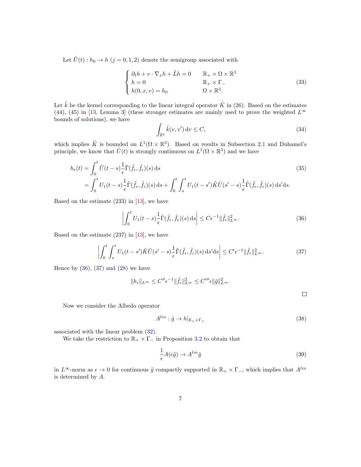Let  $\tilde{U}(t) : h_0 \to h \ (j = 0, 1, 2)$  denote the semigroup associated with

$$
\begin{cases} \n\partial_t h + v \cdot \nabla_x h + \tilde{L}h = 0 & \mathbb{R}_+ \times \Omega \times \mathbb{R}^3 \\ \nh = 0 & \mathbb{R}_+ \times \Gamma_- \\ \nh(0, x, v) = h_0 & \Omega \times \mathbb{R}^3. \n\end{cases} \tag{33}
$$

Let  $\tilde{k}$  be the kernel corresponding to the linear integral operator  $\tilde{K}$  in [\(26\)](#page-5-0). Based on the estimates (44), (45) in [\[13,](#page-10-1) Lemma 3] (these stronger estimates are mainly used to prove the weighted  $L^{\infty}$ bounds of solutions), we have

$$
\int_{\mathbb{R}^3} \tilde{k}(v, v') \, \mathrm{d}v \le C,\tag{34}
$$

which implies  $\tilde{K}$  is bounded on  $L^1(\Omega \times \mathbb{R}^3)$ . Based on results in Subsection [2.1](#page-2-1) and Duhamel's principle, we know that  $\tilde{U}(t)$  is strongly continuous on  $L^1(\Omega \times \mathbb{R}^3)$  and we have

$$
h_{\epsilon}(t) = \int_{0}^{t} \tilde{U}(t-s) \frac{1}{\epsilon} \tilde{\Gamma}(\tilde{f}_{\epsilon}, \tilde{f}_{\epsilon})(s) ds
$$
  
\n
$$
= \int_{0}^{t} U_{1}(t-s) \frac{1}{\epsilon} \tilde{\Gamma}(\tilde{f}_{\epsilon}, \tilde{f}_{\epsilon})(s) ds + \int_{0}^{t} \int_{s}^{t} U_{1}(t-s') \tilde{K} \tilde{U}(s'-s) \frac{1}{\epsilon} \tilde{\Gamma}(\tilde{f}_{\epsilon}, \tilde{f}_{\epsilon})(s) ds' ds.
$$
\n(35)

Based on the estimate  $(233)$  in [\[13\]](#page-10-1), we have

<span id="page-6-0"></span>
$$
\left| \int_0^t U_1(t-s) \frac{1}{\epsilon} \tilde{\Gamma}(\tilde{f}_{\epsilon}, \tilde{f}_{\epsilon})(s) \, ds \right| \le C \epsilon^{-1} \| \tilde{f}_{\epsilon} \|_{L^{\infty}}^2.
$$
 (36)

Based on the estimate  $(237)$  in [\[13\]](#page-10-1), we have

<span id="page-6-1"></span>
$$
\left| \int_0^t \int_s^t U_1(t-s') \tilde{K} \tilde{U}(s'-s) \frac{1}{\epsilon} \tilde{\Gamma}(\tilde{f}_{\epsilon}, \tilde{f}_{\epsilon})(s) \, \mathrm{d} s' \mathrm{d} s \right| \le C' \epsilon^{-1} \| \tilde{f}_{\epsilon} \|_{L^{\infty}}^2. \tag{37}
$$

Hence by  $(36)$ ,  $(37)$  and  $(28)$  we have

$$
||h_{\epsilon}||_{L^{\infty}} \leq C''\epsilon^{-1}||\tilde{f}_{\epsilon}||_{L^{\infty}}^2 \leq C''' \epsilon ||\tilde{g}||_{L^{\infty}}^2.
$$

Now we consider the Albedo operator

$$
A^{lin}: \tilde{g} \to h|_{\mathbb{R}_+ \times \Gamma_+}
$$
\n<sup>(38)</sup>

 $\Box$ 

associated with the linear problem [\(32\)](#page-5-2).

We take the restriction to  $\mathbb{R}_+ \times \Gamma_-$  in Proposition [3.2](#page-5-3) to obtain that

<span id="page-6-2"></span>
$$
\frac{1}{\epsilon}A(\epsilon \tilde{g}) \to A^{lin}\tilde{g}
$$
\n(39)

in  $L^{\infty}$ -norm as  $\epsilon \to 0$  for continuous  $\tilde{g}$  compactly supported in  $\mathbb{R}_+ \times \Gamma_-,$  which implies that  $A^{lin}$ is determined by A.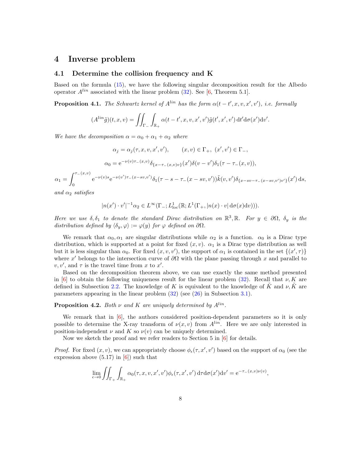### <span id="page-7-0"></span>4 Inverse problem

### 4.1 Determine the collision frequency and K

Based on the formula [\(15\)](#page-3-0), we have the following singular decomposition result for the Albedo operator  $A^{lin}$  associated with the linear problem [\(32\)](#page-5-2). See [\[6,](#page-9-6) Theorem 5.1].

**Proposition 4.1.** The Schwartz kernel of  $A^{lin}$  has the form  $\alpha(t-t',x,v,x',v')$ , i.e. formally

$$
(A^{lin}\tilde{g})(t,x,v) = \iint_{\Gamma_{-}} \int_{\mathbb{R}_{+}} \alpha(t-t',x,v,x',v')\tilde{g}(t',x',v') dt' d\sigma(x')dv'.
$$

We have the decomposition  $\alpha = \alpha_0 + \alpha_1 + \alpha_2$  where

$$
\alpha_j = \alpha_j(\tau, x, v, x', v'), \qquad (x, v) \in \Gamma_+, \ (x', v') \in \Gamma_-,
$$
  

$$
\alpha_0 = e^{-\nu(v)\tau - (x, v)} \delta_{\{x - \tau_-(x, v)v\}}(x') \delta(v - v') \delta_1(\tau - \tau_-(x, v)),
$$

 $\alpha_1 = \int^{\tau_-(x,v)}$ 0  $e^{-\nu(v)s}e^{-\nu(v')\tau_-(x-sv,v')} \delta_1(\tau-s-\tau_-(x-sv,v'))\tilde{k}(v,v')\delta_{\{x-sv-\tau_-(x-sv,v')v'\}}(x')\,ds,$ 

and  $\alpha_2$  satisfies

$$
|n(x') \cdot v'|^{-1} \alpha_2 \in L^{\infty}(\Gamma_{-}; L^{1}_{loc}(\mathbb{R}; L^{1}(\Gamma_{+}, |n(x) \cdot v| d\sigma(x)dv))).
$$

Here we use  $\delta, \delta_1$  to denote the standard Dirac distribution on  $\mathbb{R}^3$ ,  $\mathbb{R}$ . For  $y \in \partial \Omega$ ,  $\delta_y$  is the distribution defined by  $\langle \delta_y, \varphi \rangle := \varphi(y)$  for  $\varphi$  defined on  $\partial \Omega$ .

We remark that  $\alpha_0, \alpha_1$  are singular distributions while  $\alpha_2$  is a function.  $\alpha_0$  is a Dirac type distribution, which is supported at a point for fixed  $(x, v)$ .  $\alpha_1$  is a Dirac type distribution as well but it is less singular than  $\alpha_0$ . For fixed  $(x, v, v')$ , the support of  $\alpha_1$  is contained in the set  $\{(x', \tau)\}$ where x' belongs to the intersection curve of  $\partial\Omega$  with the plane passing through x and parallel to  $v, v',$  and  $\tau$  is the travel time from x to x'.

Based on the decomposition theorem above, we can use exactly the same method presented in [\[6\]](#page-9-6) to obtain the following uniqueness result for the linear problem [\(32\)](#page-5-2). Recall that  $\nu$ , K are defined in Subsection [2.2.](#page-3-1) The knowledge of K is equivalent to the knowledge of K and  $\nu$ , K are parameters appearing in the linear problem [\(32\)](#page-5-2) (see [\(26\)](#page-5-0) in Subsection [3.1\)](#page-4-3).

<span id="page-7-1"></span>**Proposition 4.2.** Both  $\nu$  and  $K$  are uniquely determined by  $A^{lin}$ .

We remark that in [\[6\]](#page-9-6), the authors considered position-dependent parameters so it is only possible to determine the X-ray transform of  $\nu(x, v)$  from  $A^{lin}$ . Here we are only interested in position-independent  $\nu$  and  $K$  so  $\nu(v)$  can be uniquely determined.

Now we sketch the proof and we refer readers to Section 5 in [\[6\]](#page-9-6) for details.

*Proof.* For fixed  $(x, v)$ , we can appropriately choose  $\phi_{\epsilon}(\tau, x', v')$  based on the support of  $\alpha_0$  (see the expression above  $(5.17)$  in  $[6]$ ) such that

$$
\lim_{\epsilon \to 0} \iint_{\Gamma_+} \int_{\mathbb{R}_+} \alpha_0(\tau, x, v, x', v') \phi_{\epsilon}(\tau, x', v') d\tau d\sigma(x') dv' = e^{-\tau_-(x, v)\nu(v)},
$$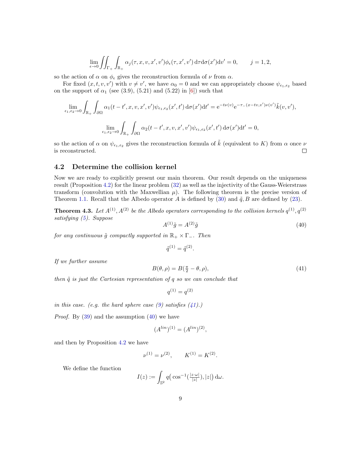$$
\lim_{\epsilon \to 0} \iint_{\Gamma_+} \int_{\mathbb{R}_+} \alpha_j(\tau, x, v, x', v') \phi_{\epsilon}(\tau, x', v') d\tau d\sigma(x') dv' = 0, \qquad j = 1, 2,
$$

so the action of  $\alpha$  on  $\phi_{\epsilon}$  gives the reconstruction formula of  $\nu$  from  $\alpha$ .

For fixed  $(x, t, v, v')$  with  $v \neq v'$ , we have  $\alpha_0 = 0$  and we can appropriately choose  $\psi_{\epsilon_1, \epsilon_2}$  based on the support of  $\alpha_1$  (see (3.9), (5.21) and (5.22) in [\[6\]](#page-9-6)) such that

$$
\lim_{\epsilon_1, \epsilon_2 \to 0} \int_{\mathbb{R}_+} \int_{\partial \Omega} \alpha_1(t - t', x, v, x', v') \psi_{\epsilon_1, \epsilon_2}(x', t') d\sigma(x') dt' = e^{-t\nu(v)} e^{-\tau_-(x - tv, v')\nu(v')} \tilde{k}(v, v'),
$$

$$
\lim_{\epsilon_1, \epsilon_2 \to 0} \int_{\mathbb{R}_+} \int_{\partial \Omega} \alpha_2(t - t', x, v, x', v') \psi_{\epsilon_1, \epsilon_2}(x', t') d\sigma(x') dt' = 0,
$$

so the action of  $\alpha$  on  $\psi_{\epsilon_1,\epsilon_2}$  gives the reconstruction formula of  $\tilde{k}$  (equivalent to K) from  $\alpha$  once  $\nu$ is reconstructed.  $\Box$ 

### 4.2 Determine the collision kernel

Now we are ready to explicitly present our main theorem. Our result depends on the uniqueness result (Proposition [4.2\)](#page-7-1) for the linear problem [\(32\)](#page-5-2) as well as the injectivity of the Gauss-Weierstrass transform (convolution with the Maxwellian  $\mu$ ). The following theorem is the precise version of Theorem [1.1.](#page-1-2) Recall that the Albedo operator A is defined by [\(30\)](#page-5-4) and  $\tilde{q}$ , B are defined by [\(23\)](#page-4-4).

**Theorem 4.3.** Let  $A^{(1)}$ ,  $A^{(2)}$  be the Albedo operators corresponding to the collision kernels  $q^{(1)}$ ,  $q^{(2)}$ satisfying [\(5\)](#page-0-0). Suppose

<span id="page-8-1"></span>
$$
A^{(1)}\tilde{g} = A^{(2)}\tilde{g} \tag{40}
$$

for any continuous  $\tilde{g}$  compactly supported in  $\mathbb{R}_+ \times \Gamma_-$ . Then

 $\tilde{q}^{(1)} = \tilde{q}^{(2)}.$ 

If we further assume

<span id="page-8-0"></span>
$$
B(\theta,\rho) = B(\frac{\pi}{2} - \theta,\rho),\tag{41}
$$

then  $\tilde{q}$  is just the Cartesian representation of q so we can conclude that

 $q^{(1)}=q^{(2)}$ 

in this case. (e.g. the hard sphere case  $(9)$  satisfies  $(41)$ .)

Proof. By [\(39\)](#page-6-2) and the assumption [\(40\)](#page-8-1) we have

$$
(A^{lin})^{(1)} = (A^{lin})^{(2)},
$$

and then by Proposition [4.2](#page-7-1) we have

$$
\nu^{(1)} = \nu^{(2)}, \qquad K^{(1)} = K^{(2)}.
$$

We define the function

$$
I(z) := \int_{\mathbb{S}^2} q\big(\cos^{-1}(\frac{|z\cdot\omega|}{|z|}), |z|\big) d\omega.
$$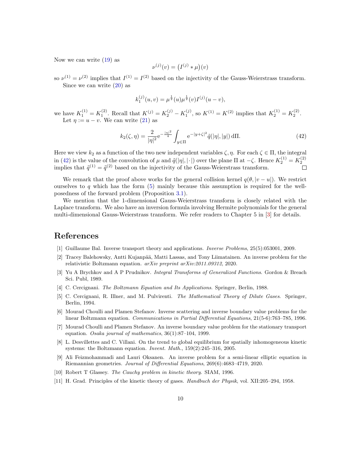Now we can write [\(19\)](#page-4-5) as

$$
\nu^{(j)}(v) = (I^{(j)} * \mu)(v)
$$

so  $\nu^{(1)} = \nu^{(2)}$  implies that  $I^{(1)} = I^{(2)}$  based on the injectivity of the Gauss-Weierstrass transform. Since we can write [\(20\)](#page-4-6) as

$$
k_1^{(j)}(u,v) = \mu^{\frac{1}{2}}(u)\mu^{\frac{1}{2}}(v)I^{(j)}(u-v),
$$

we have  $K_1^{(1)} = K_1^{(2)}$ . Recall that  $K^{(j)} = K_2^{(j)} - K_1^{(j)}$ , so  $K^{(1)} = K^{(2)}$  implies that  $K_2^{(1)} = K_2^{(2)}$ . Let  $\eta := u - v$ . We can write [\(21\)](#page-4-7) as

<span id="page-9-10"></span>
$$
k_2(\zeta, \eta) = \frac{2}{|\eta|^2} e^{-\frac{|\eta|^2}{4}} \int_{y \in \Pi} e^{-|y+\zeta|^2} \tilde{q}(|\eta|, |y|) d\Pi.
$$
 (42)

Here we view  $k_2$  as a function of the two new independent variables  $\zeta$ ,  $\eta$ . For each  $\zeta \in \Pi$ , the integral in [\(42\)](#page-9-10) is the value of the convolution of  $\mu$  and  $\tilde{q}(|\eta|,|\cdot|)$  over the plane  $\Pi$  at  $-\zeta$ . Hence  $K_2^{(1)} = K_2^{(2)}$ implies that  $\tilde{q}^{(1)} = \tilde{q}^{(2)}$  based on the injectivity of the Gauss-Weierstrass transform.

We remark that the proof above works for the general collision kernel  $q(\theta, |v-u|)$ . We restrict ourselves to q which has the form  $(5)$  mainly because this assumption is required for the wellposedness of the forward problem (Proposition [3.1\)](#page-5-5).

We mention that the 1-dimensional Gauss-Weierstrass transform is closely related with the Laplace transform. We also have an inversion formula involving Hermite polynomials for the general multi-dimensional Gauss-Weierstrass transform. We refer readers to Chapter 5 in [\[3\]](#page-9-11) for details.

# References

- <span id="page-9-5"></span>[1] Guillaume Bal. Inverse transport theory and applications. Inverse Problems, 25(5):053001, 2009.
- <span id="page-9-8"></span>[2] Tracey Balehowsky, Antti Kujanpää, Matti Lassas, and Tony Liimatainen. An inverse problem for the relativistic Boltzmann equation. arXiv preprint arXiv:2011.09312, 2020.
- <span id="page-9-11"></span>[3] Yu A Brychkov and A P Prudnikov. Integral Transforms of Generalized Functions. Gordon & Breach Sci. Publ, 1989.
- <span id="page-9-1"></span>[4] C. Cercignani. The Boltzmann Equation and Its Applications. Springer, Berlin, 1988.
- <span id="page-9-2"></span>[5] C. Cercignani, R. Illner, and M. Pulvirenti. The Mathematical Theory of Dilute Gases. Springer, Berlin, 1994.
- <span id="page-9-6"></span>[6] Mourad Choulli and Plamen Stefanov. Inverse scattering and inverse boundary value problems for the linear Boltzmann equation. Communications in Partial Differential Equations, 21(5-6):763–785, 1996.
- <span id="page-9-7"></span>[7] Mourad Choulli and Plamen Stefanov. An inverse boundary value problem for the stationary transport equation. Osaka journal of mathematics, 36(1):87–104, 1999.
- <span id="page-9-4"></span>[8] L. Desvillettes and C. Villani. On the trend to global equilibrium for spatially inhomogeneous kinetic systems: the Boltzmann equation. Invent. Math., 159(2):245–316, 2005.
- <span id="page-9-9"></span>[9] Ali Feizmohammadi and Lauri Oksanen. An inverse problem for a semi-linear elliptic equation in Riemannian geometries. Journal of Differential Equations, 269(6):4683–4719, 2020.
- <span id="page-9-3"></span>[10] Robert T Glassey. The Cauchy problem in kinetic theory. SIAM, 1996.
- <span id="page-9-0"></span>[11] H. Grad. Principles of the kinetic theory of gases. Handbuch der Physik, vol. XII:205–294, 1958.